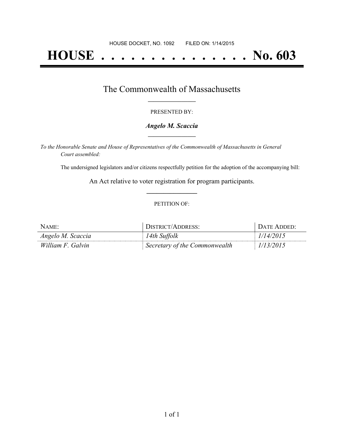# **HOUSE . . . . . . . . . . . . . . . No. 603**

## The Commonwealth of Massachusetts **\_\_\_\_\_\_\_\_\_\_\_\_\_\_\_\_\_**

#### PRESENTED BY:

#### *Angelo M. Scaccia* **\_\_\_\_\_\_\_\_\_\_\_\_\_\_\_\_\_**

*To the Honorable Senate and House of Representatives of the Commonwealth of Massachusetts in General Court assembled:*

The undersigned legislators and/or citizens respectfully petition for the adoption of the accompanying bill:

An Act relative to voter registration for program participants. **\_\_\_\_\_\_\_\_\_\_\_\_\_\_\_**

#### PETITION OF:

| NAME:             | DISTRICT/ADDRESS:             | DATE ADDED: |
|-------------------|-------------------------------|-------------|
| Angelo M. Scaccia | 14th Suffolk                  | 1/14/2015   |
| William F. Galvin | Secretary of the Commonwealth | 1/13/2015   |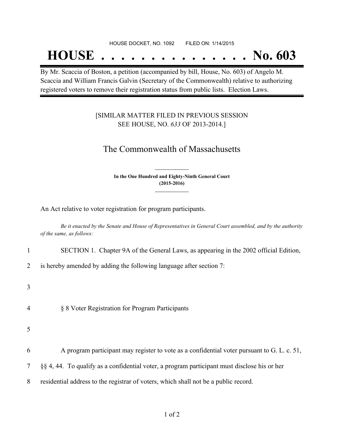#### HOUSE DOCKET, NO. 1092 FILED ON: 1/14/2015

## **HOUSE . . . . . . . . . . . . . . . No. 603**

By Mr. Scaccia of Boston, a petition (accompanied by bill, House, No. 603) of Angelo M. Scaccia and William Francis Galvin (Secretary of the Commonwealth) relative to authorizing registered voters to remove their registration status from public lists. Election Laws.

### [SIMILAR MATTER FILED IN PREVIOUS SESSION SEE HOUSE, NO. *633* OF 2013-2014.]

## The Commonwealth of Massachusetts

**In the One Hundred and Eighty-Ninth General Court (2015-2016) \_\_\_\_\_\_\_\_\_\_\_\_\_\_\_**

**\_\_\_\_\_\_\_\_\_\_\_\_\_\_\_**

An Act relative to voter registration for program participants.

Be it enacted by the Senate and House of Representatives in General Court assembled, and by the authority *of the same, as follows:*

1 SECTION 1. Chapter 9A of the General Laws, as appearing in the 2002 official Edition,

2 is hereby amended by adding the following language after section 7:

3

4 § 8 Voter Registration for Program Participants

5

- 6 A program participant may register to vote as a confidential voter pursuant to G. L. c. 51,
- 7 §§ 4, 44. To qualify as a confidential voter, a program participant must disclose his or her

8 residential address to the registrar of voters, which shall not be a public record.